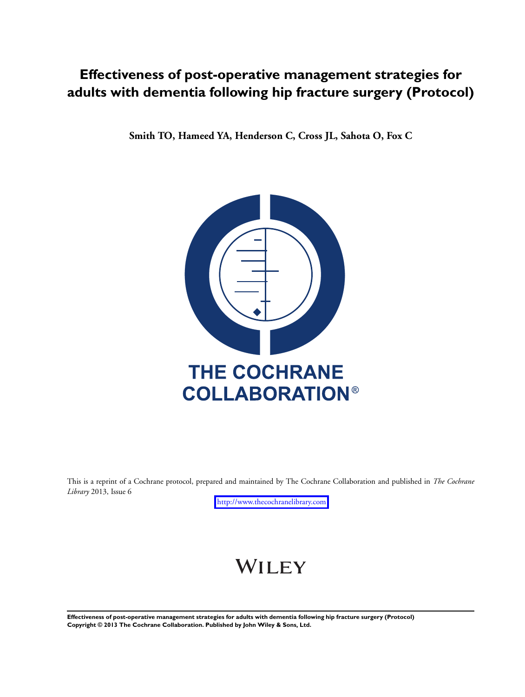## **Effectiveness of post-operative management strategies for adults with dementia following hip fracture surgery (Protocol)**

**Smith TO, Hameed YA, Henderson C, Cross JL, Sahota O, Fox C**



This is a reprint of a Cochrane protocol, prepared and maintained by The Cochrane Collaboration and published in *The Cochrane Library* 2013, Issue 6

<http://www.thecochranelibrary.com>

# WILEY

**Effectiveness of post-operative management strategies for adults with dementia following hip fracture surgery (Protocol) Copyright © 2013 The Cochrane Collaboration. Published by John Wiley & Sons, Ltd.**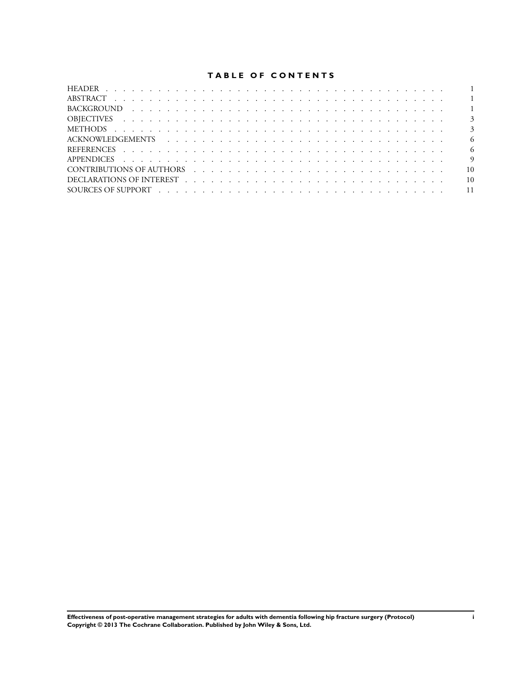## **TABLE OF CONTENTS**

|                                          | - 6             |
|------------------------------------------|-----------------|
|                                          | - 6             |
|                                          | $\overline{9}$  |
| CONTRIBUTIONS OF AUTHORS (CONTRIBUTIONS) | $\overline{10}$ |
|                                          |                 |
|                                          |                 |
|                                          |                 |

**Effectiveness of post-operative management strategies for adults with dementia following hip fracture surgery (Protocol) i Copyright © 2013 The Cochrane Collaboration. Published by John Wiley & Sons, Ltd.**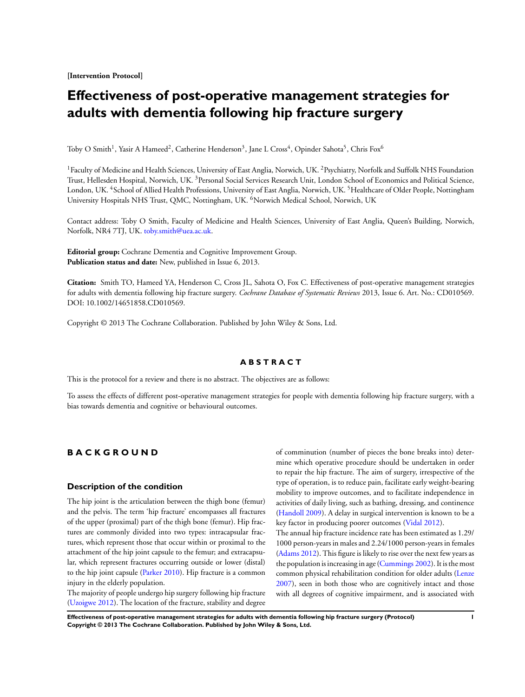<span id="page-2-0"></span>**[Intervention Protocol]**

## **Effectiveness of post-operative management strategies for adults with dementia following hip fracture surgery**

Toby O Smith<sup>1</sup>, Yasir A Hameed<sup>2</sup>, Catherine Henderson<sup>3</sup>, Jane L Cross<sup>4</sup>, Opinder Sahota<sup>5</sup>, Chris Fox<sup>6</sup>

<sup>1</sup> Faculty of Medicine and Health Sciences, University of East Anglia, Norwich, UK. <sup>2</sup> Psychiatry, Norfolk and Suffolk NHS Foundation Trust, Hellesden Hospital, Norwich, UK. <sup>3</sup>Personal Social Services Research Unit, London School of Economics and Political Science, London, UK. <sup>4</sup>School of Allied Health Professions, University of East Anglia, Norwich, UK. <sup>5</sup>Healthcare of Older People, Nottingham University Hospitals NHS Trust, QMC, Nottingham, UK. <sup>6</sup>Norwich Medical School, Norwich, UK

Contact address: Toby O Smith, Faculty of Medicine and Health Sciences, University of East Anglia, Queen's Building, Norwich, Norfolk, NR4 7TJ, UK. [toby.smith@uea.ac.uk.](mailto:toby.smith@uea.ac.uk)

**Editorial group:** Cochrane Dementia and Cognitive Improvement Group. **Publication status and date:** New, published in Issue 6, 2013.

**Citation:** Smith TO, Hameed YA, Henderson C, Cross JL, Sahota O, Fox C. Effectiveness of post-operative management strategies for adults with dementia following hip fracture surgery. *Cochrane Database of Systematic Reviews* 2013, Issue 6. Art. No.: CD010569. DOI: 10.1002/14651858.CD010569.

Copyright © 2013 The Cochrane Collaboration. Published by John Wiley & Sons, Ltd.

## **A B S T R A C T**

This is the protocol for a review and there is no abstract. The objectives are as follows:

To assess the effects of different post-operative management strategies for people with dementia following hip fracture surgery, with a bias towards dementia and cognitive or behavioural outcomes.

## **B A C K G R O U N D**

## **Description of the condition**

The hip joint is the articulation between the thigh bone (femur) and the pelvis. The term 'hip fracture' encompasses all fractures of the upper (proximal) part of the thigh bone (femur). Hip fractures are commonly divided into two types: intracapsular fractures, which represent those that occur within or proximal to the attachment of the hip joint capsule to the femur; and extracapsular, which represent fractures occurring outside or lower (distal) to the hip joint capsule ([Parker 2010](#page-7-0)). Hip fracture is a common injury in the elderly population.

The majority of people undergo hip surgery following hip fracture [\(Uzoigwe 2012](#page-7-0)). The location of the fracture, stability and degree of comminution (number of pieces the bone breaks into) determine which operative procedure should be undertaken in order to repair the hip fracture. The aim of surgery, irrespective of the type of operation, is to reduce pain, facilitate early weight-bearing mobility to improve outcomes, and to facilitate independence in activities of daily living, such as bathing, dressing, and continence [\(Handoll 2009](#page-7-0)). A delay in surgical intervention is known to be a key factor in producing poorer outcomes [\(Vidal 2012](#page-7-0)).

The annual hip fracture incidence rate has been estimated as 1.29/ 1000 person-years in males and 2.24/1000 person-years in females [\(Adams 2012](#page-7-0)). This figure is likely to rise over the next few years as the population is increasing in age ([Cummings 2002](#page-7-0)). It is the most common physical rehabilitation condition for older adults [\(Lenze](#page-7-0) [2007](#page-7-0)), seen in both those who are cognitively intact and those with all degrees of cognitive impairment, and is associated with

**Effectiveness of post-operative management strategies for adults with dementia following hip fracture surgery (Protocol) 1 Copyright © 2013 The Cochrane Collaboration. Published by John Wiley & Sons, Ltd.**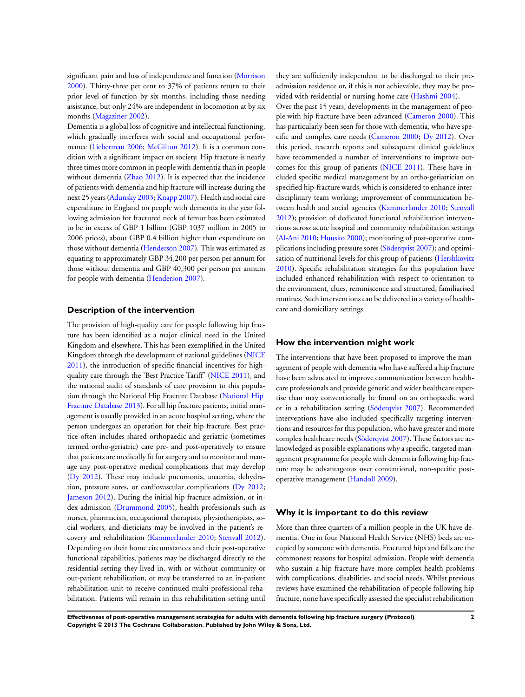significant pain and loss of independence and function ([Morrison](#page-7-0) [2000](#page-7-0)). Thirty-three per cent to 37% of patients return to their prior level of function by six months, including those needing assistance, but only 24% are independent in locomotion at by six months ([Magaziner 2002](#page-7-0)).

Dementia is a global loss of cognitive and intellectual functioning, which gradually interferes with social and occupational perfor-mance [\(Lieberman 2006](#page-7-0); [McGilton 2012](#page-7-0)). It is a common condition with a significant impact on society. Hip fracture is nearly three times more common in people with dementia than in people without dementia ([Zhao 2012\)](#page-7-0). It is expected that the incidence of patients with dementia and hip fracture will increase during the next 25 years [\(Adunsky 2003](#page-7-0); [Knapp 2007\)](#page-7-0). Health and social care expenditure in England on people with dementia in the year following admission for fractured neck of femur has been estimated to be in excess of GBP 1 billion (GBP 1037 million in 2005 to 2006 prices), about GBP 0.4 billion higher than expenditure on those without dementia [\(Henderson 2007\)](#page-7-0). This was estimated as equating to approximately GBP 34,200 per person per annum for those without dementia and GBP 40,300 per person per annum for people with dementia ([Henderson 2007\)](#page-7-0).

## **Description of the intervention**

The provision of high-quality care for people following hip fracture has been identified as a major clinical need in the United Kingdom and elsewhere. This has been exemplified in the United Kingdom through the development of national guidelines ([NICE](#page-7-0) [2011](#page-7-0)), the introduction of specific financial incentives for highquality care through the 'Best Practice Tariff' ([NICE 2011\)](#page-7-0), and the national audit of standards of care provision to this population through the National Hip Fracture Database ([National Hip](http://www.nhfd.co.uk/) [Fracture Database 2013](http://www.nhfd.co.uk/)). For all hip fracture patients, initial management is usually provided in an acute hospital setting, where the person undergoes an operation for their hip fracture. Best practice often includes shared orthopaedic and geriatric (sometimes termed ortho-geriatric) care pre- and post-operatively to ensure that patients are medically fit for surgery and to monitor and manage any post-operative medical complications that may develop [\(Dy 2012](#page-7-0)). These may include pneumonia, anaemia, dehydration, pressure sores, or cardiovascular complications ([Dy 2012;](#page-7-0) [Jameson 2012\)](#page-7-0). During the initial hip fracture admission, or index admission [\(Drummond 2005\)](#page-7-0), health professionals such as nurses, pharmacists, occupational therapists, physiotherapists, social workers, and dieticians may be involved in the patient's recovery and rehabilitation ([Kammerlander 2010;](#page-7-0) [Stenvall 2012](#page-7-0)). Depending on their home circumstances and their post-operative functional capabilities, patients may be discharged directly to the residential setting they lived in, with or without community or out-patient rehabilitation, or may be transferred to an in-patient rehabilitation unit to receive continued multi-professional rehabilitation. Patients will remain in this rehabilitation setting until

they are sufficiently independent to be discharged to their preadmission residence or, if this is not achievable, they may be provided with residential or nursing home care ([Hashmi 2004\)](#page-7-0).

Over the past 15 years, developments in the management of people with hip fracture have been advanced ([Cameron 2000\)](#page-7-0). This has particularly been seen for those with dementia, who have specific and complex care needs [\(Cameron 2000;](#page-7-0) [Dy 2012](#page-7-0)). Over this period, research reports and subsequent clinical guidelines have recommended a number of interventions to improve outcomes for this group of patients [\(NICE 2011](#page-7-0)). These have included specific medical management by an ortho-geriatrician on specified hip-fracture wards, which is considered to enhance interdisciplinary team working; improvement of communication between health and social agencies ([Kammerlander 2010;](#page-7-0) [Stenvall](#page-7-0) [2012](#page-7-0)); provision of dedicated functional rehabilitation interventions across acute hospital and community rehabilitation settings [\(Al-Ani 2010](#page-7-0); [Huusko 2000](#page-7-0)); monitoring of post-operative complications including pressure sores [\(Söderqvist 2007](#page-7-0)); and optimisation of nutritional levels for this group of patients [\(Hershkovitz](#page-7-0) [2010](#page-7-0)). Specific rehabilitation strategies for this population have included enhanced rehabilitation with respect to orientation to the environment, clues, reminiscence and structured, familiarised routines. Such interventions can be delivered in a variety of healthcare and domiciliary settings.

## **How the intervention might work**

The interventions that have been proposed to improve the management of people with dementia who have suffered a hip fracture have been advocated to improve communication between healthcare professionals and provide generic and wider healthcare expertise than may conventionally be found on an orthopaedic ward or in a rehabilitation setting ([Söderqvist 2007](#page-7-0)). Recommended interventions have also included specifically targeting interventions and resources for this population, who have greater and more complex healthcare needs ([Söderqvist 2007\)](#page-7-0). These factors are acknowledged as possible explanations why a specific, targeted management programme for people with dementia following hip fracture may be advantageous over conventional, non-specific postoperative management ([Handoll 2009](#page-7-0)).

## **Why it is important to do this review**

More than three quarters of a million people in the UK have dementia. One in four National Health Service (NHS) beds are occupied by someone with dementia. Fractured hips and falls are the commonest reasons for hospital admission. People with dementia who sustain a hip fracture have more complex health problems with complications, disabilities, and social needs. Whilst previous reviews have examined the rehabilitation of people following hip fracture, none have specifically assessed the specialist rehabilitation

**Effectiveness of post-operative management strategies for adults with dementia following hip fracture surgery (Protocol) 2 Copyright © 2013 The Cochrane Collaboration. Published by John Wiley & Sons, Ltd.**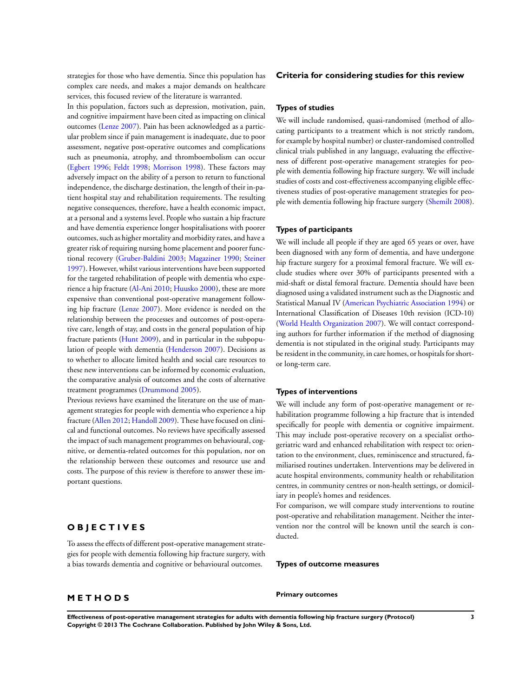strategies for those who have dementia. Since this population has complex care needs, and makes a major demands on healthcare services, this focused review of the literature is warranted.

In this population, factors such as depression, motivation, pain, and cognitive impairment have been cited as impacting on clinical outcomes ([Lenze 2007](#page-7-0)). Pain has been acknowledged as a particular problem since if pain management is inadequate, due to poor assessment, negative post-operative outcomes and complications such as pneumonia, atrophy, and thromboembolism can occur [\(Egbert 1996;](#page-7-0) [Feldt 1998](#page-7-0); [Morrison 1998\)](#page-7-0). These factors may adversely impact on the ability of a person to return to functional independence, the discharge destination, the length of their in-patient hospital stay and rehabilitation requirements. The resulting negative consequences, therefore, have a health economic impact, at a personal and a systems level. People who sustain a hip fracture and have dementia experience longer hospitalisations with poorer outcomes, such as higher mortality and morbidity rates, and have a greater risk of requiring nursing home placement and poorer functional recovery [\(Gruber-Baldini 2003;](#page-7-0) [Magaziner 1990;](#page-7-0) [Steiner](#page-7-0) [1997](#page-7-0)). However, whilst various interventions have been supported for the targeted rehabilitation of people with dementia who experience a hip fracture ([Al-Ani 2010;](#page-7-0) [Huusko 2000\)](#page-7-0), these are more expensive than conventional post-operative management following hip fracture ([Lenze 2007\)](#page-7-0). More evidence is needed on the relationship between the processes and outcomes of post-operative care, length of stay, and costs in the general population of hip fracture patients ([Hunt 2009](#page-7-0)), and in particular in the subpopulation of people with dementia ([Henderson 2007](#page-7-0)). Decisions as to whether to allocate limited health and social care resources to these new interventions can be informed by economic evaluation, the comparative analysis of outcomes and the costs of alternative treatment programmes [\(Drummond 2005](#page-7-0)).

Previous reviews have examined the literature on the use of management strategies for people with dementia who experience a hip fracture [\(Allen 2012](#page-7-0); [Handoll 2009](#page-7-0)). These have focused on clinical and functional outcomes. No reviews have specifically assessed the impact of such management programmes on behavioural, cognitive, or dementia-related outcomes for this population, nor on the relationship between these outcomes and resource use and costs. The purpose of this review is therefore to answer these important questions.

## **O B J E C T I V E S**

To assess the effects of different post-operative management strategies for people with dementia following hip fracture surgery, with a bias towards dementia and cognitive or behavioural outcomes.

## **M E T H O D S**

## **Criteria for considering studies for this review**

## **Types of studies**

We will include randomised, quasi-randomised (method of allocating participants to a treatment which is not strictly random, for example by hospital number) or cluster-randomised controlled clinical trials published in any language, evaluating the effectiveness of different post-operative management strategies for people with dementia following hip fracture surgery. We will include studies of costs and cost-effectiveness accompanying eligible effectiveness studies of post-operative management strategies for people with dementia following hip fracture surgery ([Shemilt 2008](#page-7-0)).

## **Types of participants**

We will include all people if they are aged 65 years or over, have been diagnosed with any form of dementia, and have undergone hip fracture surgery for a proximal femoral fracture. We will exclude studies where over 30% of participants presented with a mid-shaft or distal femoral fracture. Dementia should have been diagnosed using a validated instrument such as the Diagnostic and Statistical Manual IV [\(American Psychiatric Association 1994\)](#page-7-0) or International Classification of Diseases 10th revision (ICD-10) [\(World Health Organization 2007\)](#page-7-0). We will contact corresponding authors for further information if the method of diagnosing dementia is not stipulated in the original study. Participants may be resident in the community, in care homes, or hospitals for shortor long-term care.

### **Types of interventions**

We will include any form of post-operative management or rehabilitation programme following a hip fracture that is intended specifically for people with dementia or cognitive impairment. This may include post-operative recovery on a specialist orthogeriatric ward and enhanced rehabilitation with respect to: orientation to the environment, clues, reminiscence and structured, familiarised routines undertaken. Interventions may be delivered in acute hospital environments, community health or rehabilitation centres, in community centres or non-health settings, or domiciliary in people's homes and residences.

For comparison, we will compare study interventions to routine post-operative and rehabilitation management. Neither the intervention nor the control will be known until the search is conducted.

**Types of outcome measures**

**Primary outcomes**

**Effectiveness of post-operative management strategies for adults with dementia following hip fracture surgery (Protocol) 3 Copyright © 2013 The Cochrane Collaboration. Published by John Wiley & Sons, Ltd.**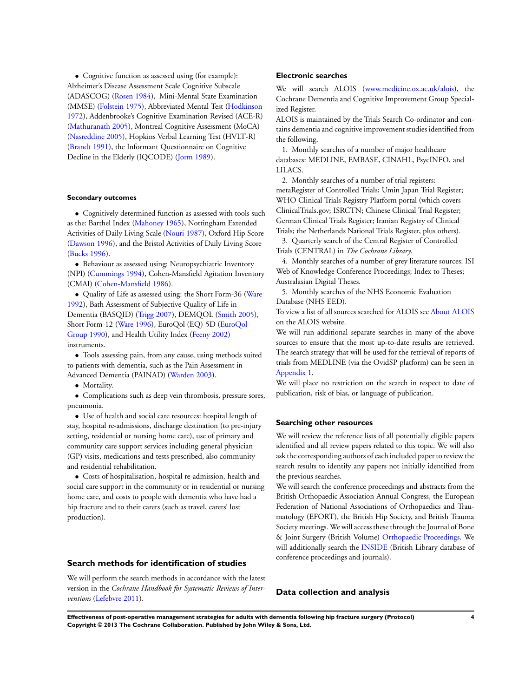• Cognitive function as assessed using (for example): Alzheimer's Disease Assessment Scale Cognitive Subscale (ADASCOG) ([Rosen 1984](#page-7-0)), Mini-Mental State Examination (MMSE) [\(Folstein 1975\)](#page-7-0), Abbreviated Mental Test [\(Hodkinson](#page-7-0) [1972](#page-7-0)), Addenbrooke's Cognitive Examination Revised (ACE-R) [\(Mathuranath 2005](#page-7-0)), Montreal Cognitive Assessment (MoCA) [\(Nasreddine 2005\)](#page-7-0), Hopkins Verbal Learning Test (HVLT-R) [\(Brandt 1991](#page-7-0)), the Informant Questionnaire on Cognitive Decline in the Elderly (IQCODE) ([Jorm 1989](#page-7-0)).

## **Secondary outcomes**

• Cognitively determined function as assessed with tools such as the: Barthel Index ([Mahoney 1965\)](#page-7-0), Nottingham Extended Activities of Daily Living Scale ([Nouri 1987](#page-7-0)), Oxford Hip Score [\(Dawson 1996\)](#page-7-0), and the Bristol Activities of Daily Living Score [\(Bucks 1996](#page-7-0)).

• Behaviour as assessed using: Neuropsychiatric Inventory (NPI) [\(Cummings 1994](#page-7-0)), Cohen-Mansfield Agitation Inventory (CMAI) [\(Cohen-Mansfield 1986](#page-7-0)).

• Quality of Life as assessed using: the Short Form-36 ([Ware](#page-7-0) [1992](#page-7-0)), Bath Assessment of Subjective Quality of Life in Dementia (BASQID) ([Trigg 2007](#page-7-0)), DEMQOL [\(Smith 2005](#page-7-0)), Short Form-12 ([Ware 1996\)](#page-7-0), EuroQol (EQ)-5D ([EuroQol](#page-7-0) [Group 1990](#page-7-0)), and Health Utility Index [\(Feeny 2002\)](#page-7-0) instruments.

• Tools assessing pain, from any cause, using methods suited to patients with dementia, such as the Pain Assessment in Advanced Dementia (PAINAD) [\(Warden 2003\)](#page-7-0).

• Mortality.

• Complications such as deep vein thrombosis, pressure sores, pneumonia.

• Use of health and social care resources: hospital length of stay, hospital re-admissions, discharge destination (to pre-injury setting, residential or nursing home care), use of primary and community care support services including general physician (GP) visits, medications and tests prescribed, also community and residential rehabilitation.

• Costs of hospitalisation, hospital re-admission, health and social care support in the community or in residential or nursing home care, and costs to people with dementia who have had a hip fracture and to their carers (such as travel, carers' lost production).

## **Search methods for identification of studies**

We will perform the search methods in accordance with the latest version in the *Cochrane Handbook for Systematic Reviews of Interventions* [\(Lefebvre 2011](#page-7-0)).

## **Electronic searches**

We will search ALOIS [\(www.medicine.ox.ac.uk/alois](http://www.medicine.ox.ac.uk/alois)), the Cochrane Dementia and Cognitive Improvement Group Specialized Register.

ALOIS is maintained by the Trials Search Co-ordinator and contains dementia and cognitive improvement studies identified from the following.

1. Monthly searches of a number of major healthcare databases: MEDLINE, EMBASE, CINAHL, PsycINFO, and LILACS.

2. Monthly searches of a number of trial registers: metaRegister of Controlled Trials; Umin Japan Trial Register; WHO Clinical Trials Registry Platform portal (which covers ClinicalTrials.gov; ISRCTN; Chinese Clinical Trial Register; German Clinical Trials Register; Iranian Registry of Clinical Trials; the Netherlands National Trials Register, plus others).

3. Quarterly search of the Central Register of Controlled Trials (CENTRAL) in *The Cochrane Library*.

4. Monthly searches of a number of grey literature sources: ISI Web of Knowledge Conference Proceedings; Index to Theses; Australasian Digital Theses.

5. Monthly searches of the NHS Economic Evaluation Database (NHS EED).

To view a list of all sources searched for ALOIS see [About ALOIS](http://www.medicine.ox.ac.uk/alois/content/about-alois) on the ALOIS website.

We will run additional separate searches in many of the above sources to ensure that the most up-to-date results are retrieved. The search strategy that will be used for the retrieval of reports of trials from MEDLINE (via the OvidSP platform) can be seen in [Appendix 1.](#page-10-0)

We will place no restriction on the search in respect to date of publication, risk of bias, or language of publication.

## **Searching other resources**

We will review the reference lists of all potentially eligible papers identified and all review papers related to this topic. We will also ask the corresponding authors of each included paper to review the search results to identify any papers not initially identified from the previous searches.

We will search the conference proceedings and abstracts from the British Orthopaedic Association Annual Congress, the European Federation of National Associations of Orthopaedics and Traumatology (EFORT), the British Hip Society, and British Trauma Society meetings. We will access these through the Journal of Bone & Joint Surgery (British Volume) [Orthopaedic Proceedings.](http://www.bjjprocs.boneandjoint.org.uk/) We will additionally search the [INSIDE](http://www.bl.uk/reshelp/atyourdesk/docsupply/collection/confs/index.html) (British Library database of conference proceedings and journals).

## **Data collection and analysis**

**Effectiveness of post-operative management strategies for adults with dementia following hip fracture surgery (Protocol) 4 Copyright © 2013 The Cochrane Collaboration. Published by John Wiley & Sons, Ltd.**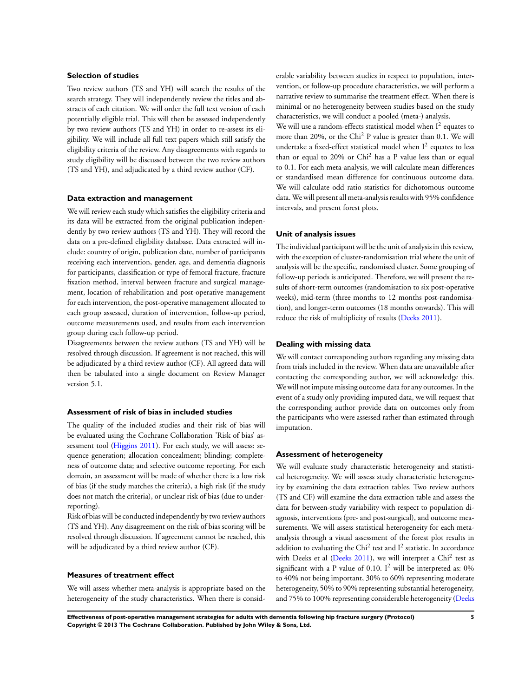## **Selection of studies**

Two review authors (TS and YH) will search the results of the search strategy. They will independently review the titles and abstracts of each citation. We will order the full text version of each potentially eligible trial. This will then be assessed independently by two review authors (TS and YH) in order to re-assess its eligibility. We will include all full text papers which still satisfy the eligibility criteria of the review. Any disagreements with regards to study eligibility will be discussed between the two review authors (TS and YH), and adjudicated by a third review author (CF).

### **Data extraction and management**

We will review each study which satisfies the eligibility criteria and its data will be extracted from the original publication independently by two review authors (TS and YH). They will record the data on a pre-defined eligibility database. Data extracted will include: country of origin, publication date, number of participants receiving each intervention, gender, age, and dementia diagnosis for participants, classification or type of femoral fracture, fracture fixation method, interval between fracture and surgical management, location of rehabilitation and post-operative management for each intervention, the post-operative management allocated to each group assessed, duration of intervention, follow-up period, outcome measurements used, and results from each intervention group during each follow-up period.

Disagreements between the review authors (TS and YH) will be resolved through discussion. If agreement is not reached, this will be adjudicated by a third review author (CF). All agreed data will then be tabulated into a single document on Review Manager version 5.1.

## **Assessment of risk of bias in included studies**

The quality of the included studies and their risk of bias will be evaluated using the Cochrane Collaboration 'Risk of bias' assessment tool ([Higgins 2011\)](#page-7-0). For each study, we will assess: sequence generation; allocation concealment; blinding; completeness of outcome data; and selective outcome reporting. For each domain, an assessment will be made of whether there is a low risk of bias (if the study matches the criteria), a high risk (if the study does not match the criteria), or unclear risk of bias (due to underreporting).

Risk of bias will be conducted independently by two review authors (TS and YH). Any disagreement on the risk of bias scoring will be resolved through discussion. If agreement cannot be reached, this will be adjudicated by a third review author (CF).

## **Measures of treatment effect**

We will assess whether meta-analysis is appropriate based on the heterogeneity of the study characteristics. When there is considerable variability between studies in respect to population, intervention, or follow-up procedure characteristics, we will perform a narrative review to summarise the treatment effect. When there is minimal or no heterogeneity between studies based on the study characteristics, we will conduct a pooled (meta-) analysis.

We will use a random-effects statistical model when  $I^2$  equates to more than 20%, or the Chi<sup>2</sup> P value is greater than 0.1. We will undertake a fixed-effect statistical model when  $I^2$  equates to less than or equal to 20% or Chi<sup>2</sup> has a P value less than or equal to 0.1. For each meta-analysis, we will calculate mean differences or standardised mean difference for continuous outcome data. We will calculate odd ratio statistics for dichotomous outcome data. We will present all meta-analysis results with 95% confidence intervals, and present forest plots.

## **Unit of analysis issues**

The individual participant will be the unit of analysis in this review, with the exception of cluster-randomisation trial where the unit of analysis will be the specific, randomised cluster. Some grouping of follow-up periods is anticipated. Therefore, we will present the results of short-term outcomes (randomisation to six post-operative weeks), mid-term (three months to 12 months post-randomisation), and longer-term outcomes (18 months onwards). This will reduce the risk of multiplicity of results ([Deeks 2011](#page-7-0)).

## **Dealing with missing data**

We will contact corresponding authors regarding any missing data from trials included in the review. When data are unavailable after contacting the corresponding author, we will acknowledge this. We will not impute missing outcome data for any outcomes. In the event of a study only providing imputed data, we will request that the corresponding author provide data on outcomes only from the participants who were assessed rather than estimated through imputation.

## **Assessment of heterogeneity**

We will evaluate study characteristic heterogeneity and statistical heterogeneity. We will assess study characteristic heterogeneity by examining the data extraction tables. Two review authors (TS and CF) will examine the data extraction table and assess the data for between-study variability with respect to population diagnosis, interventions (pre- and post-surgical), and outcome measurements. We will assess statistical heterogeneity for each metaanalysis through a visual assessment of the forest plot results in addition to evaluating the Chi<sup>2</sup> test and  $I<sup>2</sup>$  statistic. In accordance with Deeks et al ([Deeks 2011](#page-7-0)), we will interpret a Chi<sup>2</sup> test as significant with a P value of 0.10.  $I^2$  will be interpreted as: 0% to 40% not being important, 30% to 60% representing moderate heterogeneity, 50% to 90% representing substantial heterogeneity, and 75% to 100% representing considerable heterogeneity ([Deeks](#page-7-0)

**Effectiveness of post-operative management strategies for adults with dementia following hip fracture surgery (Protocol) 5 Copyright © 2013 The Cochrane Collaboration. Published by John Wiley & Sons, Ltd.**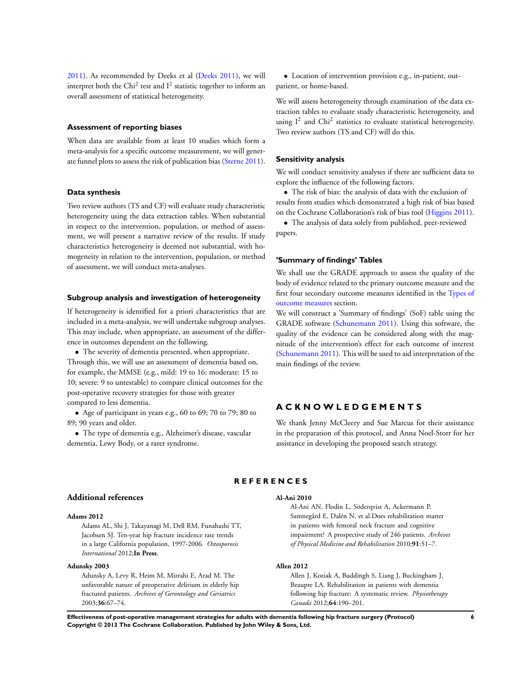<span id="page-7-0"></span>2011). As recommended by Deeks et al (Deeks 2011), we will interpret both the Chi<sup>2</sup> test and  $I^2$  statistic together to inform an overall assessment of statistical heterogeneity.

## **Assessment of reporting biases**

When data are available from at least 10 studies which form a meta-analysis for a specific outcome measurement, we will generate funnel plots to assess the risk of publication bias (Sterne 2011).

## **Data synthesis**

Two review authors (TS and CF) will evaluate study characteristic heterogeneity using the data extraction tables. When substantial in respect to the intervention, population, or method of assessment, we will present a narrative review of the results. If study characteristics heterogeneity is deemed not substantial, with homogeneity in relation to the intervention, population, or method of assessment, we will conduct meta-analyses.

## **Subgroup analysis and investigation of heterogeneity**

If heterogeneity is identified for a priori characteristics that are included in a meta-analysis, we will undertake subgroup analyses. This may include, when appropriate, an assessment of the difference in outcomes dependent on the following.

• The severity of dementia presented, when appropriate. Through this, we will use an assessment of dementia based on, for example, the MMSE (e.g., mild: 19 to 16; moderate: 15 to 10; severe: 9 to untestable) to compare clinical outcomes for the post-operative recovery strategies for those with greater compared to less dementia.

• Age of participant in years e.g., 60 to 69; 70 to 79; 80 to 89; 90 years and older.

• The type of dementia e.g., Alzheimer's disease, vascular dementia, Lewy Body, or a rarer syndrome.

• Location of intervention provision e.g., in-patient, outpatient, or home-based.

We will assess heterogeneity through examination of the data extraction tables to evaluate study characteristic heterogeneity, and using  $I^2$  and Chi<sup>2</sup> statistics to evaluate statistical heterogeneity. Two review authors (TS and CF) will do this.

## **Sensitivity analysis**

We will conduct sensitivity analyses if there are sufficient data to explore the influence of the following factors.

• The risk of bias: the analysis of data with the exclusion of results from studies which demonstrated a high risk of bias based on the Cochrane Collaboration's risk of bias tool (Higgins 2011).

• The analysis of data solely from published, peer-reviewed papers.

## **'Summary of findings' Tables**

We shall use the GRADE approach to assess the quality of the body of evidence related to the primary outcome measure and the first four secondary outcome measures identified in the [Types of](#page-2-0) [outcome measures](#page-2-0) section.

We will construct a 'Summary of findings' (SoF) table using the GRADE software (Schunemann 2011). Using this software, the quality of the evidence can be considered along with the magnitude of the intervention's effect for each outcome of interest (Schunemann 2011). This will be used to aid interpretation of the main findings of the review.

## **A C K N O W L E D G E M E N T S**

We thank Jenny McCleery and Sue Marcus for their assistance in the preparation of this protocol, and Anna Noel-Storr for her assistance in developing the proposed search strategy.

## **R E F E R E N C E S**

#### **Additional references**

## **Adams 2012**

Adams AL, Shi J, Takayanagi M, Dell RM, Funahashi TT, Jacobsen SJ. Ten-year hip fracture incidence rate trends in a large California population, 1997-2006. *Osteoporosis International* 2012;**In Press**.

## **Adunsky 2003**

Adunsky A, Levy R, Heim M, Mizrahi E, Arad M. The unfavorable nature of preoperative delirium in elderly hip fractured patients. *Archives of Gerontology and Geriatrics* 2003;**36**:67–74.

### **Al-Ani 2010**

Al-Ani AN, Flodin L, Söderqvist A, Ackermann P, Samnegård E, Dalén N, et al.Does rehabilitation matter in patients with femoral neck fracture and cognitive impairment? A prospective study of 246 patients. *Archives of Physical Medicine and Rehabilitation* 2010;**91**:51–7.

## **Allen 2012**

Allen J, Koziak A, Buddingh S, Liang J, Buckingham J, Beaupre LA. Rehabilitation in patients with dementia following hip fracture: A systematic review. *Physiotherapy Canada* 2012;**64**:190–201.

**Effectiveness of post-operative management strategies for adults with dementia following hip fracture surgery (Protocol) 6 Copyright © 2013 The Cochrane Collaboration. Published by John Wiley & Sons, Ltd.**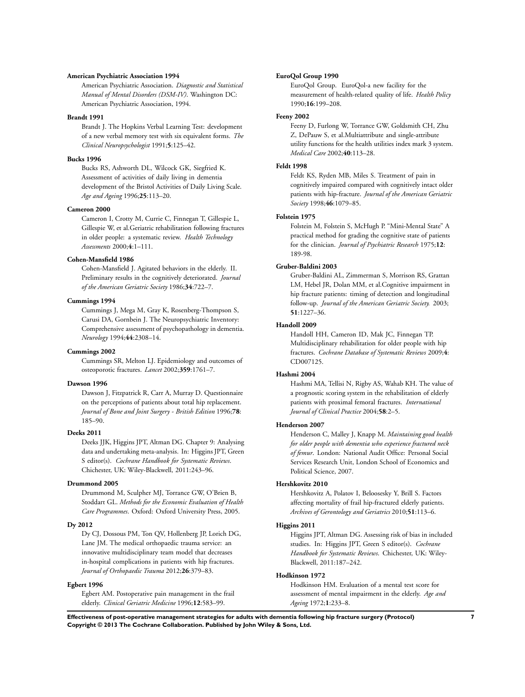## **American Psychiatric Association 1994**

American Psychiatric Association. *Diagnostic and Statistical Manual of Mental Disorders (DSM-IV)*. Washington DC: American Psychiatric Association, 1994.

#### **Brandt 1991**

Brandt J. The Hopkins Verbal Learning Test: development of a new verbal memory test with six equivalent forms. *The Clinical Neuropsychologist* 1991;**5**:125–42.

## **Bucks 1996**

Bucks RS, Ashworth DL, Wilcock GK, Siegfried K. Assessment of activities of daily living in dementia development of the Bristol Activities of Daily Living Scale. *Age and Ageing* 1996;**25**:113–20.

## **Cameron 2000**

Cameron I, Crotty M, Currie C, Finnegan T, Gillespie L, Gillespie W, et al.Geriatric rehabilitation following fractures in older people: a systematic review. *Health Technology Assessments* 2000;**4**:1–111.

## **Cohen-Mansfield 1986**

Cohen-Mansfield J. Agitated behaviors in the elderly. II. Preliminary results in the cognitively deteriorated. *Journal of the American Geriatric Society* 1986;**34**:722–7.

### **Cummings 1994**

Cummings J, Mega M, Gray K, Rosenberg-Thompson S, Carusi DA, Gornbein J. The Neuropsychiatric Inventory: Comprehensive assessment of psychopathology in dementia. *Neurology* 1994;**44**:2308–14.

#### **Cummings 2002**

Cummings SR, Melton LJ. Epidemiology and outcomes of osteoporotic fractures. *Lancet* 2002;**359**:1761–7.

## **Dawson 1996**

Dawson J, Fitzpatrick R, Carr A, Murray D. Questionnaire on the perceptions of patients about total hip replacement. *Journal of Bone and Joint Surgery - British Edition* 1996;**78**: 185–90.

## **Deeks 2011**

Deeks JJK, Higgins JPT, Altman DG. Chapter 9: Analysing data and undertaking meta-analysis. In: Higgins JPT, Green S editor(s). *Cochrane Handbook for Systematic Reviews*. Chichester, UK: Wiley-Blackwell, 2011:243–96.

## **Drummond 2005**

Drummond M, Sculpher MJ, Torrance GW, O'Brien B, Stoddart GL. *Methods for the Economic Evaluation of Health Care Programmes*. Oxford: Oxford University Press, 2005.

## **Dy 2012**

Dy CJ, Dossous PM, Ton QV, Hollenberg JP, Lorich DG, Lane JM. The medical orthopaedic trauma service: an innovative multidisciplinary team model that decreases in-hospital complications in patients with hip fractures. *Journal of Orthopaedic Trauma* 2012;**26**:379–83.

## **Egbert 1996**

Egbert AM. Postoperative pain management in the frail elderly. *Clinical Geriatric Medicine* 1996;**12**:583–99.

## **EuroQol Group 1990**

EuroQol Group. EuroQol-a new facility for the measurement of health-related quality of life. *Health Policy* 1990;**16**:199–208.

## **Feeny 2002**

Feeny D, Furlong W, Torrance GW, Goldsmith CH, Zhu Z, DePauw S, et al.Multiattribute and single-attribute utility functions for the health utilities index mark 3 system. *Medical Care* 2002;**40**:113–28.

#### **Feldt 1998**

Feldt KS, Ryden MB, Miles S. Treatment of pain in cognitively impaired compared with cognitively intact older patients with hip-fracture. *Journal of the American Geriatric Society* 1998;**46**:1079–85.

## **Folstein 1975**

Folstein M, Folstein S, McHugh P. "Mini-Mental State" A practical method for grading the cognitive state of patients for the clinician. *Journal of Psychiatric Research* 1975;**12**: 189-98.

## **Gruber-Baldini 2003**

Gruber-Baldini AL, Zimmerman S, Morrison RS, Grattan LM, Hebel JR, Dolan MM, et al.Cognitive impairment in hip fracture patients: timing of detection and longitudinal follow-up. *Journal of the American Geriatric Society.* 2003; **51**:1227–36.

#### **Handoll 2009**

Handoll HH, Cameron ID, Mak JC, Finnegan TP. Multidisciplinary rehabilitation for older people with hip fractures. *Cochrane Database of Systematic Reviews* 2009;**4**: CD007125.

## **Hashmi 2004**

Hashmi MA, Tellisi N, Rigby AS, Wahab KH. The value of a prognostic scoring system in the rehabilitation of elderly patients with proximal femoral fractures. *International Journal of Clinical Practice* 2004;**58**:2–5.

#### **Henderson 2007**

Henderson C, Malley J, Knapp M. *Maintaining good health for older people with dementia who experience fractured neck of femur*. London: National Audit Office: Personal Social Services Research Unit, London School of Economics and Political Science, 2007.

#### **Hershkovitz 2010**

Hershkovitz A, Polatov I, Beloosesky Y, Brill S. Factors affecting mortality of frail hip-fractured elderly patients. *Archives of Gerontology and Geriatrics* 2010;**51**:113–6.

## **Higgins 2011**

Higgins JPT, Altman DG. Assessing risk of bias in included studies. In: Higgins JPT, Green S editor(s). *Cochrane Handbook for Systematic Reviews*. Chichester, UK: Wiley-Blackwell, 2011:187–242.

### **Hodkinson 1972**

Hodkinson HM. Evaluation of a mental test score for assessment of mental impairment in the elderly. *Age and Ageing* 1972;**1**:233–8.

**Effectiveness of post-operative management strategies for adults with dementia following hip fracture surgery (Protocol) 7 Copyright © 2013 The Cochrane Collaboration. Published by John Wiley & Sons, Ltd.**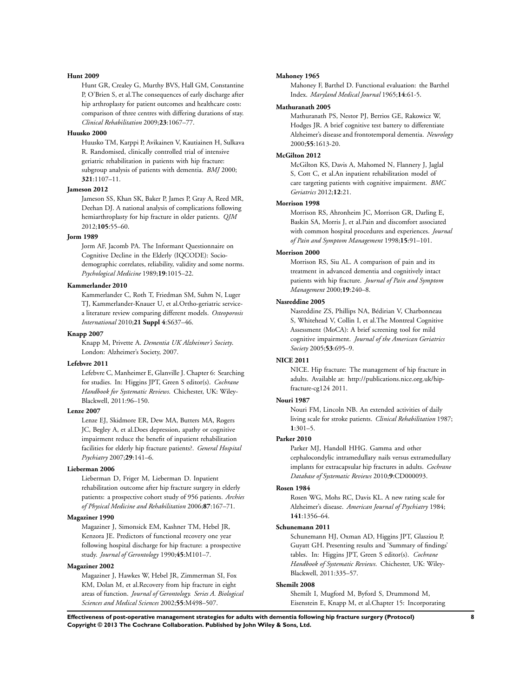#### **Hunt 2009**

Hunt GR, Crealey G, Murthy BVS, Hall GM, Constantine P, O'Brien S, et al.The consequences of early discharge after hip arthroplasty for patient outcomes and healthcare costs: comparison of three centres with differing durations of stay. *Clinical Rehabilitation* 2009;**23**:1067–77.

## **Huusko 2000**

Huusko TM, Karppi P, Avikainen V, Kautiainen H, Sulkava R. Randomised, clinically controlled trial of intensive geriatric rehabilitation in patients with hip fracture: subgroup analysis of patients with dementia. *BMJ* 2000; **321**:1107–11.

## **Jameson 2012**

Jameson SS, Khan SK, Baker P, James P, Gray A, Reed MR, Deehan DJ. A national analysis of complications following hemiarthroplasty for hip fracture in older patients. *QJM* 2012;**105**:55–60.

## **Jorm 1989**

Jorm AF, Jacomb PA. The Informant Questionnaire on Cognitive Decline in the Elderly (IQCODE): Sociodemographic correlates, reliability, validity and some norms. *Psychological Medicine* 1989;**19**:1015–22.

## **Kammerlander 2010**

Kammerlander C, Roth T, Friedman SM, Suhm N, Luger TJ, Kammerlander-Knauer U, et al.Ortho-geriatric servicea literature review comparing different models. *Osteoporosis International* 2010;**21 Suppl 4**:S637–46.

#### **Knapp 2007**

Knapp M, Privette A. *Dementia UK Alzheimer's Society*. London: Alzheimer's Society, 2007.

### **Lefebvre 2011**

Lefebvre C, Manheimer E, Glanville J. Chapter 6: Searching for studies. In: Higgins JPT, Green S editor(s). *Cochrane Handbook for Systematic Reviews*. Chichester, UK: Wiley-Blackwell, 2011:96–150.

#### **Lenze 2007**

Lenze EJ, Skidmore ER, Dew MA, Butters MA, Rogers JC, Begley A, et al.Does depression, apathy or cognitive impairment reduce the benefit of inpatient rehabilitation facilities for elderly hip fracture patients?. *General Hospital Psychiatry* 2007;**29**:141–6.

## **Lieberman 2006**

Lieberman D, Friger M, Lieberman D. Inpatient rehabilitation outcome after hip fracture surgery in elderly patients: a prospective cohort study of 956 patients. *Archies of Physical Medicine and Rehabilitation* 2006;**87**:167–71.

## **Magaziner 1990**

Magaziner J, Simonsick EM, Kashner TM, Hebel JR, Kenzora JE. Predictors of functional recovery one year following hospital discharge for hip fracture: a prospective study. *Journal of Gerontology* 1990;**45**:M101–7.

## **Magaziner 2002**

Magaziner J, Hawkes W, Hebel JR, Zimmerman SI, Fox KM, Dolan M, et al.Recovery from hip fracture in eight areas of function. *Journal of Gerontology. Series A. Biological Sciences and Medical Sciences* 2002;**55**:M498–507.

### **Mahoney 1965**

Mahoney F, Barthel D. Functional evaluation: the Barthel Index. *Maryland Medical Journal* 1965;**14**:61-5.

## **Mathuranath 2005**

Mathuranath PS, Nestor PJ, Berrios GE, Rakowicz W, Hodges JR. A brief cognitive test battery to differentiate Alzheimer's disease and frontotemporal dementia. *Neurology* 2000;**55**:1613-20.

## **McGilton 2012**

McGilton KS, Davis A, Mahomed N, Flannery J, Jaglal S, Cott C, et al.An inpatient rehabilitation model of care targeting patients with cognitive impairment. *BMC Geriatrics* 2012;**12**:21.

## **Morrison 1998**

Morrison RS, Ahronheim JC, Morrison GR, Darling E, Baskin SA, Morris J, et al.Pain and discomfort associated with common hospital procedures and experiences. *Journal of Pain and Symptom Management* 1998;**15**:91–101.

## **Morrison 2000**

Morrison RS, Siu AL. A comparison of pain and its treatment in advanced dementia and cognitively intact patients with hip fracture. *Journal of Pain and Symptom Management* 2000;**19**:240–8.

## **Nasreddine 2005**

Nasreddine ZS, Phillips NA, Bédirian V, Charbonneau S, Whitehead V, Collin I, et al.The Montreal Cognitive Assessment (MoCA): A brief screening tool for mild cognitive impairment. *Journal of the American Geriatrics Society* 2005;**53**:695–9.

## **NICE 2011**

NICE. Hip fracture: The management of hip fracture in adults. Available at: http://publications.nice.org.uk/hipfracture-cg124 2011.

#### **Nouri 1987**

Nouri FM, Lincoln NB. An extended activities of daily living scale for stroke patients. *Clinical Rehabilitation* 1987; **1**:301–5.

## **Parker 2010**

Parker MJ, Handoll HHG. Gamma and other cephalocondylic intramedullary nails versus extramedullary implants for extracapsular hip fractures in adults. *Cochrane Database of Systematic Reviews* 2010;**9**:CD000093.

## **Rosen 1984**

Rosen WG, Mohs RC, Davis KL. A new rating scale for Alzheimer's disease. *American Journal of Psychiatry* 1984; **141**:1356–64.

#### **Schunemann 2011**

Schunemann HJ, Oxman AD, Higgins JPT, Glasziou P, Guyatt GH. Presenting results and 'Summary of findings' tables. In: Higgins JPT, Green S editor(s). *Cochrane Handbook of Systematic Reviews*. Chichester, UK: Wiley-Blackwell, 2011:335–57.

## **Shemilt 2008**

Shemilt I, Mugford M, Byford S, Drummond M, Eisenstein E, Knapp M, et al.Chapter 15: Incorporating

**Effectiveness of post-operative management strategies for adults with dementia following hip fracture surgery (Protocol) 8 Copyright © 2013 The Cochrane Collaboration. Published by John Wiley & Sons, Ltd.**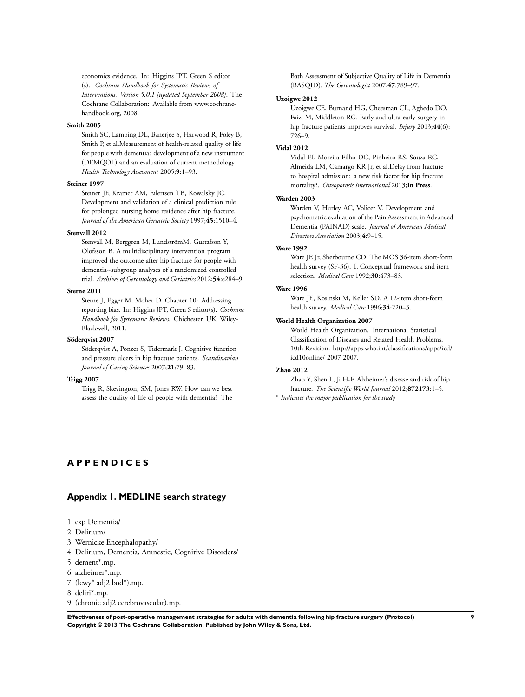<span id="page-10-0"></span>economics evidence. In: Higgins JPT, Green S editor (s). *Cochrane Handbook for Systematic Reviews of Interventions. Version 5.0.1 [updated September 2008]*. The Cochrane Collaboration: Available from www.cochranehandbook.org, 2008.

### **Smith 2005**

Smith SC, Lamping DL, Banerjee S, Harwood R, Foley B, Smith P, et al.Measurement of health-related quality of life for people with dementia: development of a new instrument (DEMQOL) and an evaluation of current methodology. *Health Technology Assessment* 2005;**9**:1–93.

## **Steiner 1997**

Steiner JF, Kramer AM, Eilertsen TB, Kowalsky JC. Development and validation of a clinical prediction rule for prolonged nursing home residence after hip fracture. *Journal of the American Geriatric Society* 1997;**45**:1510–4.

#### **Stenvall 2012**

Stenvall M, Berggren M, LundströmM, Gustafson Y, Olofsson B. A multidisciplinary intervention program improved the outcome after hip fracture for people with dementia--subgroup analyses of a randomized controlled trial. *Archives of Gerontology and Geriatrics* 2012;**54**:e284–9.

### **Sterne 2011**

Sterne J, Egger M, Moher D. Chapter 10: Addressing reporting bias. In: Higgins JPT, Green S editor(s). *Cochrane Handbook for Systematic Reviews*. Chichester, UK: Wiley-Blackwell, 2011.

## **Söderqvist 2007**

Söderqvist A, Ponzer S, Tidermark J. Cognitive function and pressure ulcers in hip fracture patients. *Scandinavian Journal of Caring Sciences* 2007;**21**:79–83.

## **Trigg 2007**

Trigg R, Skevington, SM, Jones RW. How can we best assess the quality of life of people with dementia? The Bath Assessment of Subjective Quality of Life in Dementia (BASQID). *The Gerontologist* 2007;**47**:789–97.

## **Uzoigwe 2012**

Uzoigwe CE, Burnand HG, Cheesman CL, Aghedo DO, Faizi M, Middleton RG. Early and ultra-early surgery in hip fracture patients improves survival. *Injury* 2013;**44**(6): 726–9.

## **Vidal 2012**

Vidal EI, Moreira-Filho DC, Pinheiro RS, Souza RC, Almeida LM, Camargo KR Jr, et al.Delay from fracture to hospital admission: a new risk factor for hip fracture mortality?. *Osteoporosis International* 2013;**In Press**.

### **Warden 2003**

Warden V, Hurley AC, Volicer V. Development and psychometric evaluation of the Pain Assessment in Advanced Dementia (PAINAD) scale. *Journal of American Medical Directors Association* 2003;**4**:9–15.

## **Ware 1992**

Ware JE Jr, Sherbourne CD. The MOS 36-item short-form health survey (SF-36). I. Conceptual framework and item selection. *Medical Care* 1992;**30**:473–83.

## **Ware 1996**

Ware JE, Kosinski M, Keller SD. A 12-item short-form health survey. *Medical Care* 1996;**34**:220–3.

## **World Health Organization 2007**

World Health Organization. International Statistical Classification of Diseases and Related Health Problems. 10th Revision. http://apps.who.int/classifications/apps/icd/ icd10online/ 2007 2007.

## **Zhao 2012**

Zhao Y, Shen L, Ji H-F. Alzheimer's disease and risk of hip fracture. *The Scientific World Journal* 2012;**872173**:1–5. ∗ *Indicates the major publication for the study*

## **A P P E N D I C E S**

## **Appendix 1. MEDLINE search strategy**

|  |  |  | 1. exp Dementia/ |
|--|--|--|------------------|
|--|--|--|------------------|

- 2. Delirium/
- 3. Wernicke Encephalopathy/
- 4. Delirium, Dementia, Amnestic, Cognitive Disorders/
- 5. dement\*.mp.
- 6. alzheimer\*.mp.
- 7. (lewy\* adj2 bod\*).mp.
- 8. deliri\*.mp.
- 9. (chronic adj2 cerebrovascular).mp.

**Effectiveness of post-operative management strategies for adults with dementia following hip fracture surgery (Protocol) 9 Copyright © 2013 The Cochrane Collaboration. Published by John Wiley & Sons, Ltd.**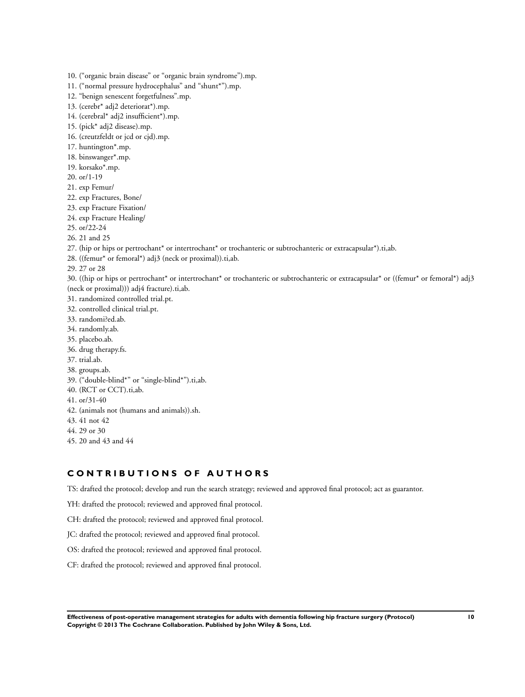- 10. ("organic brain disease" or "organic brain syndrome").mp.
- 11. ("normal pressure hydrocephalus" and "shunt\*").mp.
- 12. "benign senescent forgetfulness".mp.
- 13. (cerebr\* adj2 deteriorat\*).mp.
- 14. (cerebral\* adj2 insufficient\*).mp.
- 15. (pick\* adj2 disease).mp.
- 16. (creutzfeldt or jcd or cjd).mp.
- 17. huntington\*.mp.
- 18. binswanger\*.mp.
- 19. korsako\*.mp.
- 20. or/1-19
- 21. exp Femur/
- 22. exp Fractures, Bone/
- 23. exp Fracture Fixation/
- 24. exp Fracture Healing/
- 25. or/22-24
- 26. 21 and 25
- 27. (hip or hips or pertrochant\* or intertrochant\* or trochanteric or subtrochanteric or extracapsular\*).ti,ab.
- 28. ((femur\* or femoral\*) adj3 (neck or proximal)).ti,ab.
- 29. 27 or 28
- 30. ((hip or hips or pertrochant\* or intertrochant\* or trochanteric or subtrochanteric or extracapsular\* or ((femur\* or femoral\*) adj3 (neck or proximal))) adj4 fracture).ti,ab.
- 31. randomized controlled trial.pt.
- 32. controlled clinical trial.pt.
- 33. randomi?ed.ab.
- 34. randomly.ab.
- 35. placebo.ab.
- 36. drug therapy.fs.
- 37. trial.ab.
- 38. groups.ab.
- 39. ("double-blind\*" or "single-blind\*").ti,ab.
- 40. (RCT or CCT).ti,ab.
- 41. or/31-40
- 42. (animals not (humans and animals)).sh.
- 43. 41 not 42
- 44. 29 or 30
- 45. 20 and 43 and 44

## **C O N T R I B U T I O N S O F A U T H O R S**

TS: drafted the protocol; develop and run the search strategy; reviewed and approved final protocol; act as guarantor.

YH: drafted the protocol; reviewed and approved final protocol.

CH: drafted the protocol; reviewed and approved final protocol.

JC: drafted the protocol; reviewed and approved final protocol.

OS: drafted the protocol; reviewed and approved final protocol.

CF: drafted the protocol; reviewed and approved final protocol.